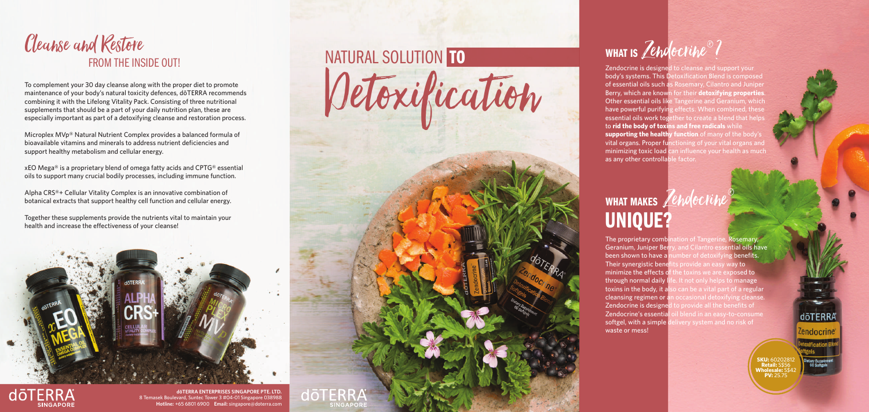Zendocrine is designed to cleanse and support your body's systems. This Detoxification Blend is composed of essential oils such as Rosemary, Cilantro and Juniper Berry, which are known for their **detoxifying properties**. Other essential oils like Tangerine and Geranium, which have powerful purifying effects. When combined, these essential oils work together to create a blend that helps to **rid the body of toxins and free radicals** while **supporting the healthy function** of many of the body's vital organs. Proper functioning of your vital organs and minimizing toxic load can influence your health as much as any other controllable factor.

#### WHAT MAKES Zendocrine® UNIQUE?

The proprietary combination of Tangerine, Rosemary, Geranium, Juniper Berry, and Cilantro essential oils have been shown to have a number of detoxifying benefits. Their synergistic benefits provide an easy way to minimize the effects of the toxins we are exposed to through normal daily life. It not only helps to manage toxins in the body, it also can be a vital part of a regular cleansing regimen or an occasional detoxifying cleanse. Zendocrine is designed to provide all the benefits of Zendocrine's essential oil blend in an easy-to-consume softgel, with a simple delivery system and no risk of waste or mess!

Together these supplements provide the nutrients vital to maintain your health and increase the effectiveness of your cleanse!





# FROM THE INSIDE OUT! Cleanse and Restore

To complement your 30 day cleanse along with the proper diet to promote maintenance of your body's natural toxicity defences, dōTERRA recommends combining it with the Lifelong Vitality Pack. Consisting of three nutritional supplements that should be a part of your daily nutrition plan, these are especially important as part of a detoxifying cleanse and restoration process.

Microplex MVp® Natural Nutrient Complex provides a balanced formula of bioavailable vitamins and minerals to address nutrient deficiencies and support healthy metabolism and cellular energy.

xEO Mega® is a proprietary blend of omega fatty acids and CPTG® essential oils to support many crucial bodily processes, including immune function.

Alpha CRS®+ Cellular Vitality Complex is an innovative combination of botanical extracts that support healthy cell function and cellular energy.

> **SKU:** 60202812 **Retail:** S\$56 **Wholesale:** S\$42 **PV:** 25.75

dōTERRA

Zendocrine

**dōTERRA ENTERPRISES SINGAPORE PTE. LTD.** 8 Temasek Boulevard, Suntec Tower 3 #04-01 Singapore 038988 **Hotline:** +65 6801 6900 **Email:** singapore@doterra.com

# NATURAL SOLUTION TO THE MINITISH WHAT IS Detoxification dōTERRA **SINGAPOI**

# Zendocrine®?